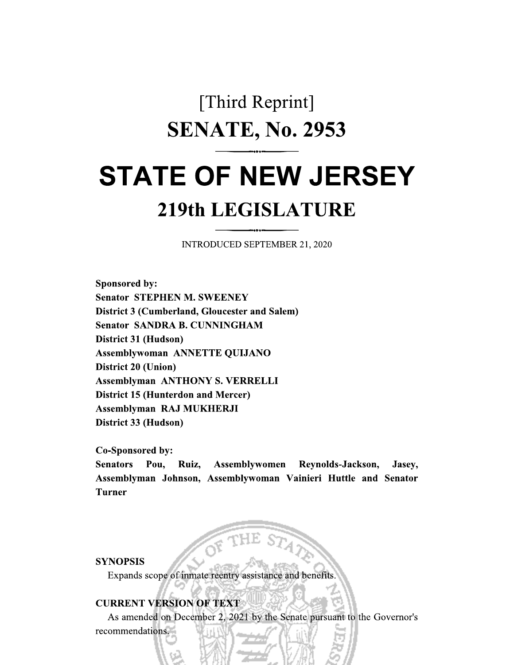## [Third Reprint] **SENATE, No. 2953**

# **STATE OF NEW JERSEY**

### **219th LEGISLATURE**

**INTRODUCED SEPTEMBER 21, 2020** 

Sponsored by: **Senator STEPHEN M. SWEENEY District 3 (Cumberland, Gloucester and Salem) Senator SANDRA B. CUNNINGHAM** District 31 (Hudson) **Assemblywoman ANNETTE QUIJANO District 20 (Union) Assemblyman ANTHONY S. VERRELLI District 15 (Hunterdon and Mercer) Assemblyman RAJ MUKHERJI** District 33 (Hudson)

Co-Sponsored by:

**Senators** Pou. Ruiz, Assemblywomen Reynolds-Jackson, Jasey, Assemblyman Johnson, Assemblywoman Vainieri Huttle and Senator **Turner** 

**SYNOPSIS** 

Expands scope of inmate reentry assistance and benefits

#### **CURRENT VERSION OF TEXT**

As amended on December 2, 2021 by the Senate pursuant to the Governor's recommendations.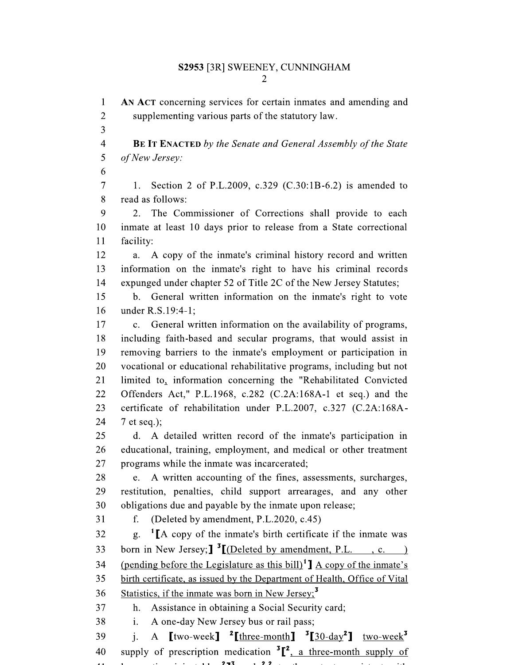$\mathbf{1}$ AN ACT concerning services for certain inmates and amending and  $\overline{2}$ supplementing various parts of the statutory law. 3  $\overline{4}$ **BE IT ENACTED** by the Senate and General Assembly of the State 5 of New Jersey: 6  $\overline{7}$ Section 2 of P.L.2009, c.329 (C.30:1B-6.2) is amended to 1. 8 read as follows: 9  $2.$ The Commissioner of Corrections shall provide to each 10 inmate at least 10 days prior to release from a State correctional facility: 11 12 a. A copy of the inmate's criminal history record and written 13 information on the inmate's right to have his criminal records 14 expunged under chapter 52 of Title 2C of the New Jersey Statutes; 15 b. General written information on the inmate's right to vote 16 under R.S.19:4-1: 17 c. General written information on the availability of programs, 18 including faith-based and secular programs, that would assist in removing barriers to the inmate's employment or participation in 19 20 vocational or educational rehabilitative programs, including but not 21 limited to, information concerning the "Rehabilitated Convicted 22 Offenders Act," P.L.1968, c.282 (C.2A:168A-1 et seq.) and the 23 certificate of rehabilitation under P.L.2007, c.327 (C.2A:168A-24  $7$  et seq.); 25 d. A detailed written record of the inmate's participation in 26 educational, training, employment, and medical or other treatment 27 programs while the inmate was incarcerated; 28 A written accounting of the fines, assessments, surcharges,  $e.$ 29 restitution, penalties, child support arrearages, and any other 30 obligations due and payable by the inmate upon release; (Deleted by amendment, P.L.2020, c.45) 31 f. 32 <sup>1</sup> [A copy of the inmate's birth certificate if the inmate was g. 33 born in New Jersey;  $\int_0^3 [(\text{Deleted by amendment, P.L. }, c. )]$ (pending before the Legislature as this bill)<sup>1</sup>]  $\overline{A}$  copy of the inmate's 34 birth certificate, as issued by the Department of Health, Office of Vital 35 Statistics, if the inmate was born in New Jersey;  $3$ 36 Assistance in obtaining a Social Security card; 37  $h_{-}$ 38 i. A one-day New Jersey bus or rail pass; 39  $\mathbf{i}$ . A  $\left[\text{two-week}\right]$  <sup>2</sup> $\left[\text{three-month}\right]$  <sup>3</sup> $\left[\frac{30 \text{ day}^2}{2} \right]$  two-week<sup>3</sup>

supply of prescription medication  ${}^{3}$ [ ${}^{2}$ , a three-month supply of 40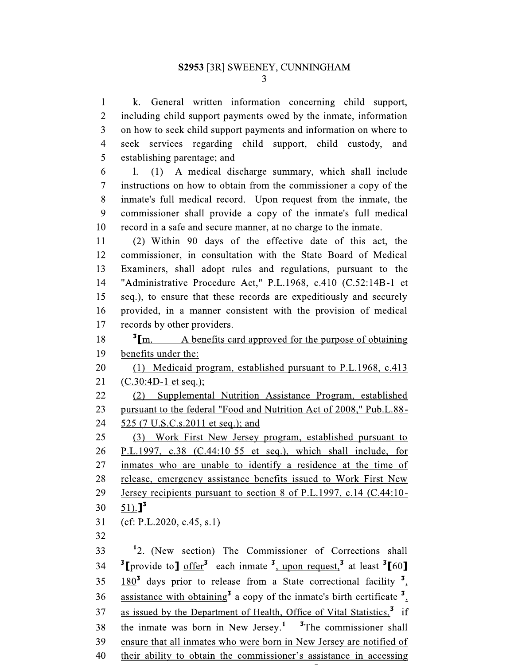k. General written information concerning child support,  $\mathbf{1}$  $\overline{2}$ including child support payments owed by the inmate, information  $\overline{3}$ on how to seek child support payments and information on where to  $\overline{4}$ seek services regarding child support, child custody, and 5 establishing parentage; and

6  $1.$ (1) A medical discharge summary, which shall include  $\overline{7}$ instructions on how to obtain from the commissioner a copy of the 8 inmate's full medical record. Upon request from the inmate, the 9 commissioner shall provide a copy of the inmate's full medical 10 record in a safe and secure manner, at no charge to the inmate.

11 (2) Within 90 days of the effective date of this act, the 12 commissioner, in consultation with the State Board of Medical 13 Examiners, shall adopt rules and regulations, pursuant to the  $14$ "Administrative Procedure Act," P.L.1968, c.410 (C.52:14B-1 et 15 seq.), to ensure that these records are expeditiously and securely 16 provided, in a manner consistent with the provision of medical 17 records by other providers.

 $\mathrm{^{3}Im}$ . 18 A benefits card approved for the purpose of obtaining 19 benefits under the:

20 (1) Medicaid program, established pursuant to P.L.1968, c.413 21  $(C.30:4D-1$  et seq.);

22 (2) Supplemental Nutrition Assistance Program, established 23 pursuant to the federal "Food and Nutrition Act of 2008," Pub.L.88-525 (7 U.S.C.s.2011 et seq.); and 24

25 (3) Work First New Jersey program, established pursuant to 26 P.L.1997, c.38  $(C.44:10-55$  et seq.), which shall include, for 27 inmates who are unable to identify a residence at the time of 28 release, emergency assistance benefits issued to Work First New 29 Jersey recipients pursuant to section 8 of P.L.1997, c.14 (C.44:10-

 $51).$ <sup>3</sup> 30

31  $(cf: P.L.2020, c.45, s.1)$ 

32

<sup>1</sup>2. (New section) The Commissioner of Corrections shall 33 <sup>3</sup>[provide to] offer<sup>3</sup> each inmate <sup>3</sup>, upon request,<sup>3</sup> at least <sup>3</sup>[60] 34  $180<sup>3</sup>$  days prior to release from a State correctional facility  $<sup>3</sup>$ ,</sup> 35 assistance with obtaining<sup>3</sup> a copy of the inmate's birth certificate  $\frac{3}{2}$ , 36 as issued by the Department of Health, Office of Vital Statistics,<sup>3</sup> if 37 38 the inmate was born in New Jersey.<sup>1</sup>  $\frac{3}{2}$ The commissioner shall 39 ensure that all inmates who were born in New Jersey are notified of 40 their ability to obtain the commissioner's assistance in accessing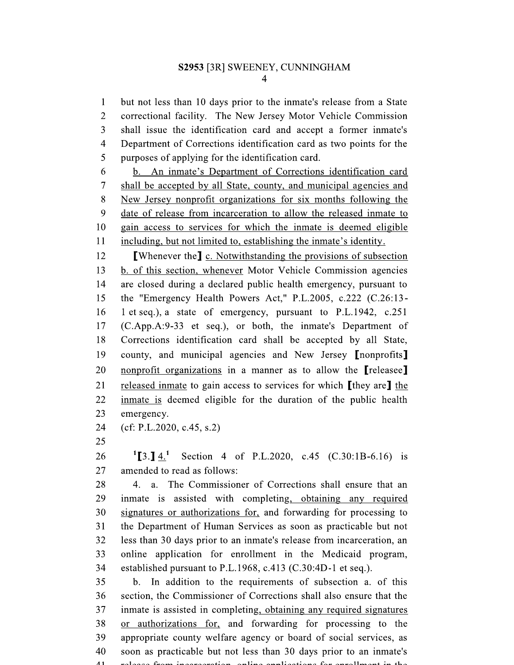$\mathbf{1}$ but not less than 10 days prior to the inmate's release from a State  $\overline{2}$ correctional facility. The New Jersey Motor Vehicle Commission  $\overline{3}$ shall issue the identification card and accept a former inmate's  $\overline{4}$ Department of Corrections identification card as two points for the 5 purposes of applying for the identification card.

6 b. An inmate's Department of Corrections identification card  $\overline{7}$ shall be accepted by all State, county, and municipal agencies and 8 New Jersey nonprofit organizations for six months following the 9 date of release from incarceration to allow the released inmate to 10 gain access to services for which the inmate is deemed eligible 11 including, but not limited to, establishing the inmate's identity.

12 **[Whenever the] c.** Notwithstanding the provisions of subsection 13 b. of this section, whenever Motor Vehicle Commission agencies 14 are closed during a declared public health emergency, pursuant to the "Emergency Health Powers Act," P.L.2005, c.222 (C.26:13-15 16 1 et seq.), a state of emergency, pursuant to P.L.1942, c.251 17 (C.App.A:9-33 et seq.), or both, the inmate's Department of 18 Corrections identification card shall be accepted by all State, 19 county, and municipal agencies and New Jersey *[nonprofits]* 20 nonprofit organizations in a manner as to allow the [releasee] 21 released inmate to gain access to services for which [they are] the 22 inmate is deemed eligible for the duration of the public health 23 emergency.

24  $(cf: P.L.2020, c.45, s.2)$ 

25

 $^{1}$ [3.] 4.<sup>1</sup> Section 4 of P.L.2020, c.45 (C.30:1B-6.16) is 26 27 amended to read as follows:

28 a. The Commissioner of Corrections shall ensure that an 4. 29 inmate is assisted with completing, obtaining any required 30 signatures or authorizations for, and forwarding for processing to 31 the Department of Human Services as soon as practicable but not 32 less than 30 days prior to an inmate's release from incarceration, an 33 online application for enrollment in the Medicaid program, 34 established pursuant to P.L.1968, c.413 (C.30:4D-1 et seq.).

35 b. In addition to the requirements of subsection a. of this 36 section, the Commissioner of Corrections shall also ensure that the 37 inmate is assisted in completing, obtaining any required signatures 38 or authorizations for, and forwarding for processing to the 39 appropriate county welfare agency or board of social services, as 40 soon as practicable but not less than 30 days prior to an inmate's  $\overline{41}$ nologia fuero in concentiano antino continetiano fer cumillos qui in the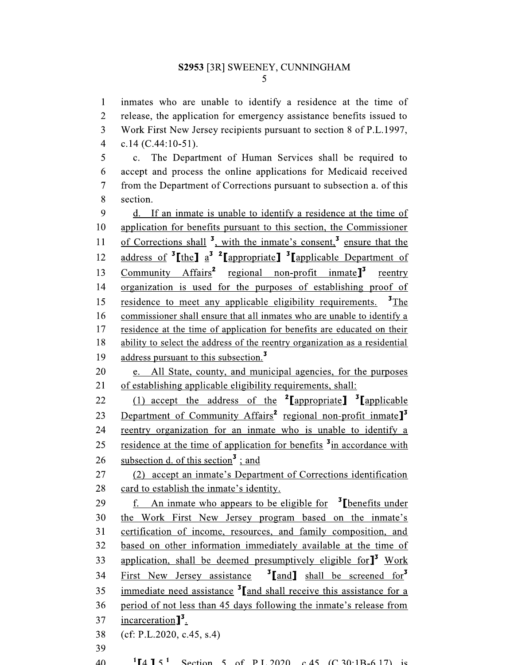inmates who are unable to identify a residence at the time of  $\mathbf{1}$  $\overline{2}$ release, the application for emergency assistance benefits issued to  $\overline{3}$ Work First New Jersey recipients pursuant to section 8 of P.L.1997,  $\overline{4}$ c.14  $(C.44:10-51)$ . 5 c. The Department of Human Services shall be required to 6 accept and process the online applications for Medicaid received  $\overline{7}$ from the Department of Corrections pursuant to subsection a. of this 8 section. 9 d. If an inmate is unable to identify a residence at the time of application for benefits pursuant to this section, the Commissioner 10 of Corrections shall <sup>3</sup>, with the inmate's consent,<sup>3</sup> ensure that the 11 address of  $\mathrm{{}^{3}$ [the]  $a^{\mathrm{3}}$   $\mathrm{{}^{2}$ [appropriate]  $\mathrm{{}^{3}$ [applicable Department of 12 Community  $Affairs^2$  regional non-profit inmate<sup>1</sup> reentry 13 organization is used for the purposes of establishing proof of 14 residence to meet any applicable eligibility requirements.  $\mathbf{z}_{\text{The}}$ 15 16 commissioner shall ensure that all inmates who are unable to identify a 17 residence at the time of application for benefits are educated on their 18 ability to select the address of the reentry organization as a residential 19 address pursuant to this subsection.<sup>3</sup> 20 e. All State, county, and municipal agencies, for the purposes 21 of establishing applicable eligibility requirements, shall: (1) accept the address of the  $2$ [appropriate]  $\frac{3}{2}$ [applicable 22 Department of Community Affairs<sup>2</sup> regional non-profit inmate<sup>1</sup> 23 reentry organization for an inmate who is unable to identify a 24 residence at the time of application for benefits <sup>3</sup>in accordance with 25 subsection d. of this section<sup>3</sup>: and 26 (2) accept an inmate's Department of Corrections identification 27 28 card to establish the inmate's identity. f. An inmate who appears to be eligible for  $\frac{3}{5}$  benefits under 29 30 the Work First New Jersey program based on the inmate's 31 certification of income, resources, and family composition, and based on other information immediately available at the time of 32 application, shall be deemed presumptively eligible for<sup>13</sup> Work 33 <sup>3</sup>[and] shall be screened for<sup>3</sup> First New Jersey assistance 34 immediate need assistance  $\frac{3}{2}$  and shall receive this assistance for a 35 36 period of not less than 45 days following the inmate's release from incarceration $\mathbb{I}^3$ . 37  $(cf: P.L.2020, c.45, s.4)$ 38 39  $40^{\circ}$  ${}^{1}\mathbf{I} \mathbf{A} \mathbf{I} \mathbf{S}^{1}$  Section 5 of PI 2020 c 45 (C 30:1 R = 6.17) is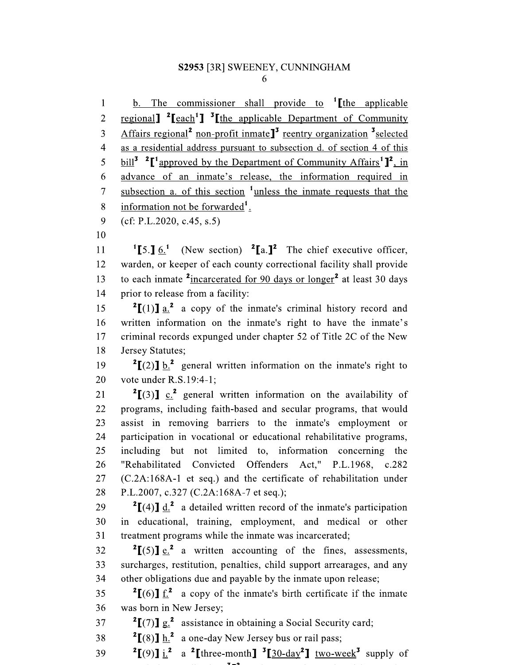<u>b. The commissioner shall provide to  $\int$  [the applicable</u>  $\mathbf{1}$ regional]  $^{2}$ [each<sup>1</sup>]  $^{3}$ [the applicable Department of Community  $\overline{2}$ Affairs regional<sup>2</sup> non-profit inmate<sup>1</sup> reentry organization <sup>3</sup> selected  $\overline{3}$ as a residential address pursuant to subsection d. of section 4 of this  $\overline{\mathcal{L}}$ 5 bill<sup>3</sup> <sup>2</sup> $\lceil$ <sup>1</sup>approved by the Department of Community Affairs<sup>1</sup> $\lceil$ <sup>2</sup>, in advance of an inmate's release, the information required in 6 subsection a. of this section <sup>1</sup>unless the inmate requests that the  $\overline{7}$ information not be forwarded<sup>1</sup>. 8

9  $(cf: P.L.2020, c.45, s.5)$ 

10

(New section)  $2[a.]<sup>2</sup>$  The chief executive officer, 11  $^{1}$ [5.] 6.<sup>1</sup> warden, or keeper of each county correctional facility shall provide 12 to each inmate <sup>2</sup>incarcerated for 90 days or longer<sup>2</sup> at least 30 days 13 prior to release from a facility: 14

 $\binom{2}{1}$  a.<sup>2</sup> a copy of the inmate's criminal history record and 15 written information on the inmate's right to have the inmate's 16 17 criminal records expunged under chapter 52 of Title 2C of the New 18 Jersey Statutes;

<sup>2</sup>[(2)]  $\underline{b}$ .<sup>2</sup> general written information on the inmate's right to 19 20 vote under R.S.19:4-1:

 $2[(3)]$  c.<sup>2</sup> general written information on the availability of 21 programs, including faith-based and secular programs, that would 22 23 assist in removing barriers to the inmate's employment or 24 participation in vocational or educational rehabilitative programs, 25 including but not limited to, information concerning the 26 "Rehabilitated Convicted Offenders Act," P.L.1968, c.282 27 (C.2A:168A-1 et seq.) and the certificate of rehabilitation under P.L.2007, c.327 (C.2A:168A-7 et seq.); 28

<sup>2</sup>[(4)] d.<sup>2</sup> a detailed written record of the inmate's participation 29 30 in educational, training, employment, and medical or other 31 treatment programs while the inmate was incarcerated;

 $^{2}$ [(5)] e.<sup>2</sup> a written accounting of the fines, assessments, 32 surcharges, restitution, penalties, child support arrearages, and any 33 other obligations due and payable by the inmate upon release; 34

<sup>2</sup>[(6)]  $f^2$  a copy of the inmate's birth certificate if the inmate 35 was born in New Jersey; 36

<sup>2</sup> $\left[\frac{7}{12}\right]$  assistance in obtaining a Social Security card; 37

 $2[(8)]$  h.<sup>2</sup> a one-day New Jersey bus or rail pass; 38

<sup>2</sup>[(9)]  $\underline{i}$ .<sup>2</sup> a <sup>2</sup>[three-month]<sup>3</sup>[30-day<sup>2</sup>] two-week<sup>3</sup> supply of 39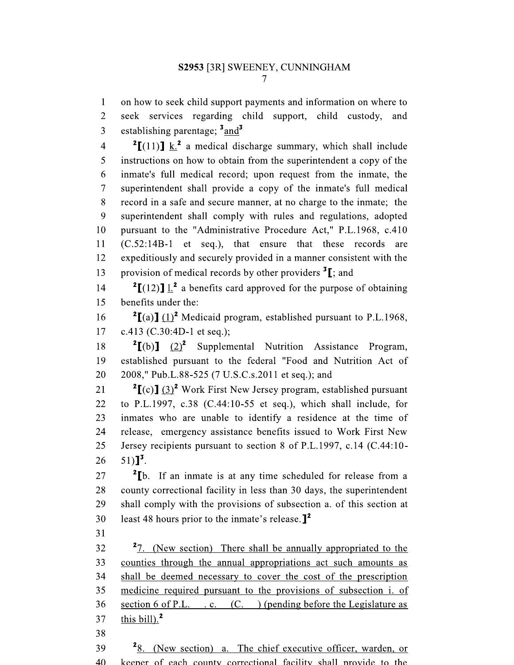on how to seek child support payments and information on where to  $\mathbf{1}$  $\overline{2}$ seek services regarding child support, child custody, and  $\overline{3}$ establishing parentage;  $\frac{3}{3}$  and  $\frac{3}{3}$ 

 $2[(11)]$  k.<sup>2</sup> a medical discharge summary, which shall include  $\overline{4}$ instructions on how to obtain from the superintendent a copy of the 5 6 inmate's full medical record; upon request from the inmate, the  $\overline{7}$ superintendent shall provide a copy of the inmate's full medical 8 record in a safe and secure manner, at no charge to the inmate; the 9 superintendent shall comply with rules and regulations, adopted 10 pursuant to the "Administrative Procedure Act," P.L.1968, c.410 11 (C.52:14B-1 et seq.), that ensure that these records are expeditiously and securely provided in a manner consistent with the 12 provision of medical records by other providers  $\mathbf{I}$ ; and 13

 $^{2}$ [(12)] 1.<sup>2</sup> a benefits card approved for the purpose of obtaining  $14$ 15 benefits under the:

 $^{2}$ [(a)] (1)<sup>2</sup> Medicaid program, established pursuant to P.L.1968, 16 c.413 (C.30:4D-1 et seq.); 17

 $2[(b)]$   $(2)^2$  Supplemental Nutrition Assistance Program, 18 19 established pursuant to the federal "Food and Nutrition Act of 2008," Pub.L.88-525 (7 U.S.C.s.2011 et seq.); and 20

 $^{2}$  $\Gamma$ (c) $\Gamma$  (3)<sup>2</sup> Work First New Jersey program, established pursuant  $21$ to P.L.1997, c.38 (C.44:10-55 et seq.), which shall include, for 22 23 inmates who are unable to identify a residence at the time of 24 release, emergency assistance benefits issued to Work First New 25 Jersey recipients pursuant to section 8 of P.L.1997, c.14 (C.44:10- $51)$ ]<sup>3</sup>. 26

<sup>2</sup>[b. If an inmate is at any time scheduled for release from a 27 28 county correctional facility in less than 30 days, the superintendent 29 shall comply with the provisions of subsection a. of this section at least 48 hours prior to the inmate's release.  $\mathbf{I}^2$ 30

 $31$ 

<sup>2</sup>7. (New section) There shall be annually appropriated to the 32 counties through the annual appropriations act such amounts as 33 34 shall be deemed necessary to cover the cost of the prescription medicine required pursuant to the provisions of subsection i. of 35 section 6 of P.L.  $\ldots$  (C. ) (pending before the Legislature as 36 this bill).<sup>2</sup> 37

38

 $28.$  (New section) a. The chief executive officer, warden, or 39 keeper of each county correctional facility shall provide to the  $40$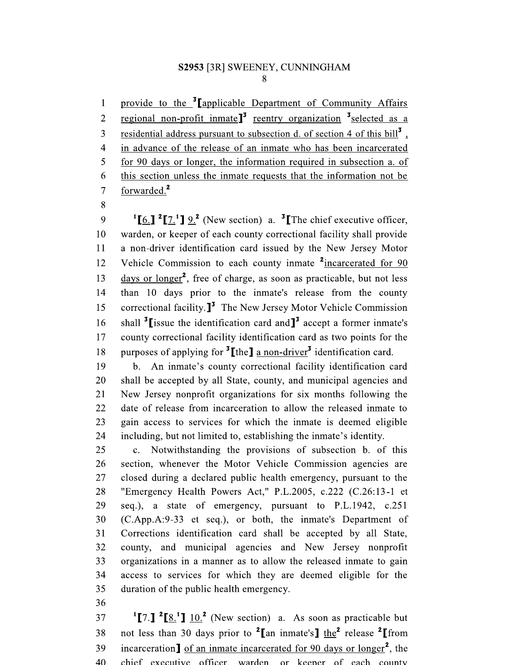provide to the <sup>3</sup>[applicable Department of Community Affairs]  $\mathbf{1}$ regional non-profit inmate<sup>13</sup> reentry organization  $\frac{3}{3}$  selected as a  $\overline{2}$ residential address pursuant to subsection d. of section 4 of this bill<sup>3</sup>,  $\overline{3}$  $\overline{4}$ in advance of the release of an inmate who has been incarcerated 5 for 90 days or longer, the information required in subsection a. of 6 this section unless the inmate requests that the information not be forwarded.<sup>2</sup>  $\overline{7}$ 

8

<sup>1</sup>[6.] <sup>2</sup>[7.<sup>1</sup>] 9.<sup>2</sup> (New section) a. <sup>3</sup>[The chief executive officer, 9 warden, or keeper of each county correctional facility shall provide 10 11 a non-driver identification card issued by the New Jersey Motor Vehicle Commission to each county inmate <sup>2</sup>incarcerated for 90 12 days or longer<sup>2</sup>, free of charge, as soon as practicable, but not less 13 than 10 days prior to the inmate's release from the county  $14$ correctional facility. $J^3$  The New Jersey Motor Vehicle Commission 15 shall  $\frac{3}{2}$  issue the identification card and  $\frac{3}{2}$  accept a former inmate's 16 county correctional facility identification card as two points for the 17 purposes of applying for  ${}^{3}$ [the] a non-driver<sup>3</sup> identification card. 18

b. An inmate's county correctional facility identification card 19 20 shall be accepted by all State, county, and municipal agencies and 21 New Jersey nonprofit organizations for six months following the 22 date of release from incarceration to allow the released inmate to 23 gain access to services for which the inmate is deemed eligible 24 including, but not limited to, establishing the inmate's identity.

25 c. Notwithstanding the provisions of subsection b. of this 26 section, whenever the Motor Vehicle Commission agencies are 27 closed during a declared public health emergency, pursuant to the "Emergency Health Powers Act," P.L.2005, c.222 (C.26:13-1 et 28 seq.), a state of emergency, pursuant to P.L.1942, c.251 29 30 (C.App.A:9-33 et seq.), or both, the inmate's Department of 31 Corrections identification card shall be accepted by all State, 32 county, and municipal agencies and New Jersey nonprofit 33 organizations in a manner as to allow the released inmate to gain 34 access to services for which they are deemed eligible for the 35 duration of the public health emergency.

36

<sup>1</sup>[7.] <sup>2</sup>[8.<sup>1</sup>]  $10.^2$  (New section) a. As soon as practicable but 37 not less than 30 days prior to <sup>2</sup>[an inmate's] the<sup>2</sup> release <sup>2</sup>[from 38 incarceration] of an inmate incarcerated for 90 days or longer<sup>2</sup>, the 39  $40$ chief executive officer warden or keeper of each county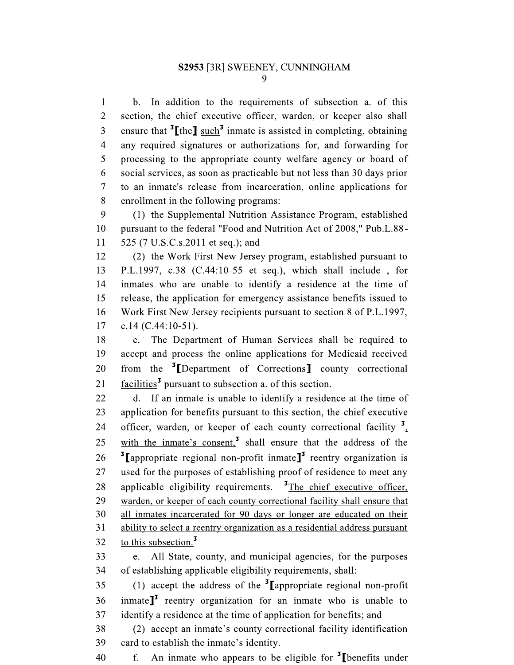$\mathbf{1}$ b. In addition to the requirements of subsection a. of this  $\overline{2}$ section, the chief executive officer, warden, or keeper also shall ensure that  ${}^{3}$ [the] such<sup>3</sup> inmate is assisted in completing, obtaining 3 any required signatures or authorizations for, and forwarding for  $\overline{4}$ 5 processing to the appropriate county welfare agency or board of 6 social services, as soon as practicable but not less than 30 days prior  $\overline{7}$ to an inmate's release from incarceration, online applications for 8 enrollment in the following programs:

9 (1) the Supplemental Nutrition Assistance Program, established 10 pursuant to the federal "Food and Nutrition Act of 2008," Pub.L.88- $11$ 525 (7 U.S.C.s.2011 et seq.); and

12 (2) the Work First New Jersey program, established pursuant to 13 P.L.1997, c.38  $(C.44:10-55$  et seq.), which shall include, for inmates who are unable to identify a residence at the time of 14 15 release, the application for emergency assistance benefits issued to 16 Work First New Jersey recipients pursuant to section 8 of P.L.1997, 17 c.14  $(C.44:10-51)$ .

18  $\mathbf{c}$ . The Department of Human Services shall be required to 19 accept and process the online applications for Medicaid received from the <sup>3</sup>[Department of Corrections] county correctional 20 facilities<sup>3</sup> pursuant to subsection a. of this section. 21

22 If an inmate is unable to identify a residence at the time of d. 23 application for benefits pursuant to this section, the chief executive officer, warden, or keeper of each county correctional facility  $\frac{3}{4}$ 24 with the inmate's consent,<sup>3</sup> shall ensure that the address of the 25 <sup>3</sup> [appropriate regional non-profit inmate]<sup>3</sup> reentry organization is 26 used for the purposes of establishing proof of residence to meet any 27 applicable eligibility requirements.  $\frac{3}{2}$ The chief executive officer, 28 29 warden, or keeper of each county correctional facility shall ensure that 30 all inmates incarcerated for 90 days or longer are educated on their 31 ability to select a reentry organization as a residential address pursuant to this subsection.<sup>3</sup> 32

33 All State, county, and municipal agencies, for the purposes e. 34 of establishing applicable eligibility requirements, shall:

(1) accept the address of the  $\frac{3}{2}$  appropriate regional non-profit 35 inmate $J<sup>3</sup>$  reentry organization for an inmate who is unable to 36 37 identify a residence at the time of application for benefits; and

38 (2) accept an inmate's county correctional facility identification 39 card to establish the inmate's identity.

An inmate who appears to be eligible for  $\mathbf{I}$  [benefits under 40  $f_{\perp}$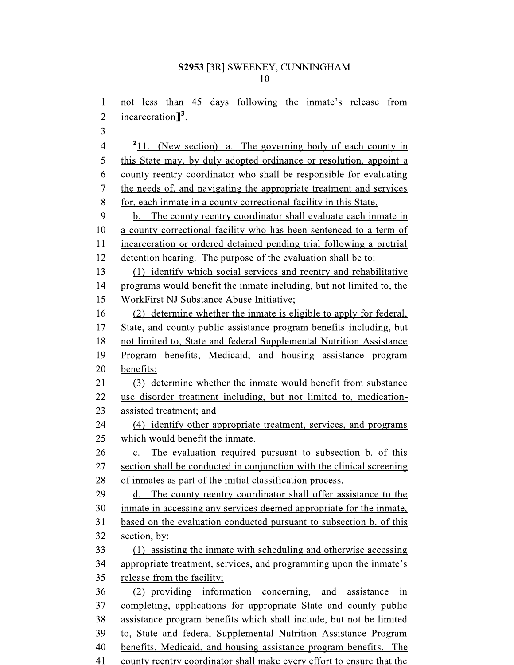not less than 45 days following the inmate's release from  $\mathbf{1}$ incarceration $\mathbb{I}^3$ .  $\overline{2}$ 3  $211.$  (New section) a. The governing body of each county in  $\overline{4}$ 5 this State may, by duly adopted ordinance or resolution, appoint a 6 county reentry coordinator who shall be responsible for evaluating  $\overline{7}$ the needs of, and navigating the appropriate treatment and services 8 for, each inmate in a county correctional facility in this State. 9 The county reentry coordinator shall evaluate each inmate in  $b.$ 10 a county correctional facility who has been sentenced to a term of 11 incarceration or ordered detained pending trial following a pretrial 12 detention hearing. The purpose of the evaluation shall be to: 13 (1) identify which social services and reentry and rehabilitative 14 programs would benefit the inmate including, but not limited to, the 15 WorkFirst NJ Substance Abuse Initiative; 16 (2) determine whether the inmate is eligible to apply for federal, 17 State, and county public assistance program benefits including, but 18 not limited to, State and federal Supplemental Nutrition Assistance 19 Program benefits, Medicaid, and housing assistance program 20 benefits; 21 (3) determine whether the inmate would benefit from substance 22 use disorder treatment including, but not limited to, medication-23 assisted treatment; and 24 (4) identify other appropriate treatment, services, and programs 25 which would benefit the inmate. 26 c. The evaluation required pursuant to subsection b. of this 27 section shall be conducted in conjunction with the clinical screening of inmates as part of the initial classification process. 28 29 d. The county reentry coordinator shall offer assistance to the 30 inmate in accessing any services deemed appropriate for the inmate, 31 based on the evaluation conducted pursuant to subsection b. of this 32 section, by: 33 (1) assisting the inmate with scheduling and otherwise accessing 34 appropriate treatment, services, and programming upon the inmate's 35 release from the facility; 36 (2) providing information concerning, and assistance in 37 completing, applications for appropriate State and county public assistance program benefits which shall include, but not be limited 38 39 to, State and federal Supplemental Nutrition Assistance Program benefits, Medicaid, and housing assistance program benefits. The 40

41 county reentry coordinator shall make every effort to ensure that the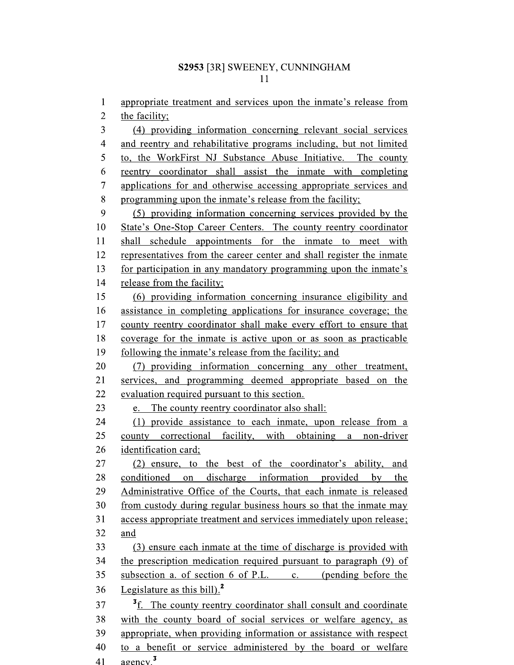$\mathbf{1}$ appropriate treatment and services upon the inmate's release from

 $\overline{2}$ the facility;

 $\overline{3}$ (4) providing information concerning relevant social services  $\overline{\mathcal{A}}$ and reentry and rehabilitative programs including, but not limited 5 to, the WorkFirst NJ Substance Abuse Initiative. The county 6 reentry coordinator shall assist the inmate with completing  $\overline{7}$ applications for and otherwise accessing appropriate services and 8 programming upon the inmate's release from the facility; 9 (5) providing information concerning services provided by the 10 State's One-Stop Career Centers. The county reentry coordinator shall schedule appointments for the inmate to meet with 11 12 representatives from the career center and shall register the inmate 13 for participation in any mandatory programming upon the inmate's 14 release from the facility; 15 (6) providing information concerning insurance eligibility and 16 assistance in completing applications for insurance coverage; the 17 county reentry coordinator shall make every effort to ensure that 18 coverage for the inmate is active upon or as soon as practicable 19 following the inmate's release from the facility; and 20 (7) providing information concerning any other treatment, 21 services, and programming deemed appropriate based on the 22 evaluation required pursuant to this section. 23 e. The county reentry coordinator also shall: 24 (1) provide assistance to each inmate, upon release from a 25 county correctional facility, with obtaining a non-driver 26 identification card; 27 (2) ensure, to the best of the coordinator's ability, and 28 conditioned on discharge information provided by the 29 Administrative Office of the Courts, that each inmate is released 30 from custody during regular business hours so that the inmate may 31 access appropriate treatment and services immediately upon release; 32 and 33 (3) ensure each inmate at the time of discharge is provided with 34 the prescription medication required pursuant to paragraph (9) of subsection a. of section  $6$  of P.L. c. (pending before the 35 Legislature as this bill). $<sup>2</sup>$ </sup> 36 37 <sup>3</sup>f. The county reentry coordinator shall consult and coordinate 38 with the county board of social services or welfare agency, as 39 appropriate, when providing information or assistance with respect 40 to a benefit or service administered by the board or welfare

 $a$ gency $^3$ 41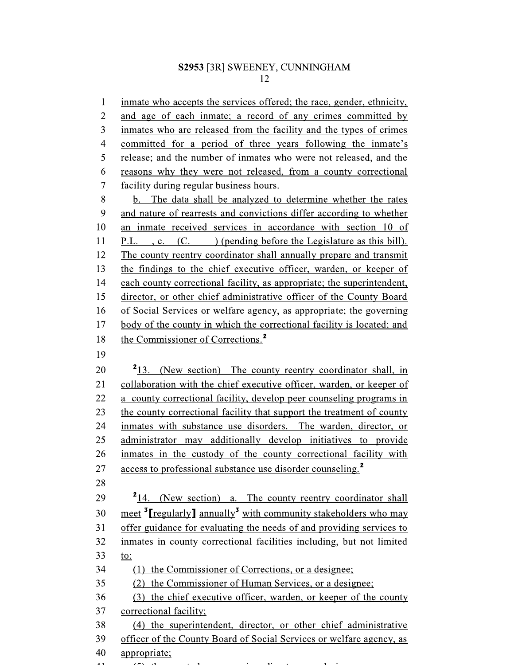$\mathbf{1}$ inmate who accepts the services offered; the race, gender, ethnicity,  $\overline{2}$ and age of each inmate; a record of any crimes committed by  $\overline{3}$ inmates who are released from the facility and the types of crimes  $\overline{4}$ committed for a period of three years following the inmate's 5 release; and the number of inmates who were not released, and the 6 reasons why they were not released, from a county correctional  $\overline{7}$ facility during regular business hours. 8 b. The data shall be analyzed to determine whether the rates 9 and nature of rearrests and convictions differ according to whether 10 an inmate received services in accordance with section 10 of 11 P.L., c. (C.) (pending before the Legislature as this bill). 12 The county reentry coordinator shall annually prepare and transmit 13 the findings to the chief executive officer, warden, or keeper of 14 each county correctional facility, as appropriate; the superintendent, 15 director, or other chief administrative officer of the County Board 16 of Social Services or welfare agency, as appropriate; the governing 17 body of the county in which the correctional facility is located; and the Commissioner of Corrections.<sup>2</sup> 18 19 20 <sup>2</sup>13. (New section) The county reentry coordinator shall, in collaboration with the chief executive officer, warden, or keeper of 21 22 a county correctional facility, develop peer counseling programs in 23 the county correctional facility that support the treatment of county 24 inmates with substance use disorders. The warden, director, or 25 administrator may additionally develop initiatives to provide 26 inmates in the custody of the county correctional facility with access to professional substance use disorder counseling.<sup>2</sup> 27 28 29 <sup>2</sup>14. (New section) a. The county reentry coordinator shall meet  $\frac{3}{2}$  regularly annually  $\frac{3}{2}$  with community stakeholders who may 30 offer guidance for evaluating the needs of and providing services to  $31$ 32 inmates in county correctional facilities including, but not limited 33 to: 34 (1) the Commissioner of Corrections, or a designee; 35 (2) the Commissioner of Human Services, or a designee; 36 (3) the chief executive officer, warden, or keeper of the county 37 correctional facility; 38 (4) the superintendent, director, or other chief administrative 39 officer of the County Board of Social Services or welfare agency, as

- 40 appropriate;
-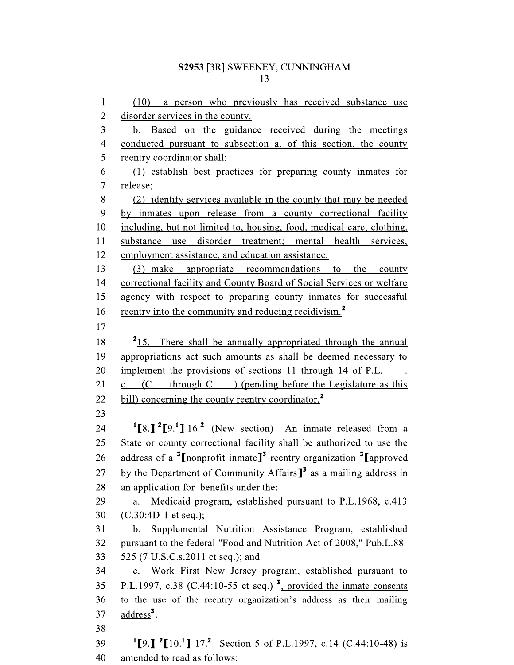$\mathbf{1}$  $(10)$  a person who previously has received substance use  $\overline{2}$ disorder services in the county.  $\overline{3}$ b. Based on the guidance received during the meetings  $\overline{4}$ conducted pursuant to subsection a. of this section, the county 5 reentry coordinator shall: 6 (1) establish best practices for preparing county inmates for  $\overline{7}$ release; 8 (2) identify services available in the county that may be needed 9 by inmates upon release from a county correctional facility 10 including, but not limited to, housing, food, medical care, clothing, 11 substance use disorder treatment; mental health services, 12 employment assistance, and education assistance; 13 (3) make appropriate recommendations to the county 14 correctional facility and County Board of Social Services or welfare 15 agency with respect to preparing county inmates for successful reentry into the community and reducing recidivism.<sup>2</sup> 16 17 <sup>2</sup>15. There shall be annually appropriated through the annual 18 19 appropriations act such amounts as shall be deemed necessary to 20 implement the provisions of sections 11 through 14 of P.L. (C. through C. ) (pending before the Legislature as this 21  $\mathbf{c}$ . bill) concerning the county reentry coordinator.<sup>2</sup> 22 23  $^{1}[8.]$   $^{2}[9.]$   $16.$  (New section) An inmate released from a 24 State or county correctional facility shall be authorized to use the 25 address of a <sup>3</sup>I nonprofit inmate<sup>13</sup> reentry organization <sup>3</sup>I approved 26 by the Department of Community Affairs $J<sup>3</sup>$  as a mailing address in 27 28 an application for benefits under the: 29 Medicaid program, established pursuant to P.L.1968, c.413 a. 30  $(C.30:4D-1$  et seq.); b. Supplemental Nutrition Assistance Program, established 31 32 pursuant to the federal "Food and Nutrition Act of 2008," Pub.L.88-33 525 (7 U.S.C.s.2011 et seq.); and 34 c. Work First New Jersey program, established pursuant to P.L.1997, c.38 (C.44:10-55 et seq.)  $\frac{3}{2}$ , provided the inmate consents 35 to the use of the reentry organization's address as their mailing 36 37 address<sup>3</sup>. 38 <sup>1</sup>[9.] <sup>2</sup>[10.<sup>1</sup>]  $17.$ <sup>2</sup> Section 5 of P.L.1997, c.14 (C.44:10-48) is 39

40 amended to read as follows: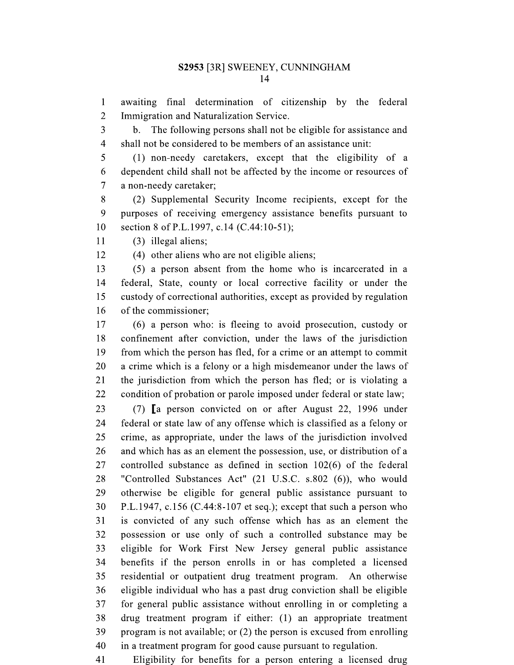$\mathbf{1}$ awaiting final determination of citizenship by the federal  $\overline{2}$ Immigration and Naturalization Service.

 $\overline{3}$ b. The following persons shall not be eligible for assistance and  $\overline{4}$ shall not be considered to be members of an assistance unit:

5 (1) non-needy caretakers, except that the eligibility of a 6 dependent child shall not be affected by the income or resources of  $\overline{7}$ a non-needy caretaker;

8 (2) Supplemental Security Income recipients, except for the 9 purposes of receiving emergency assistance benefits pursuant to 10 section 8 of P.L.1997, c.14 (C.44:10-51);

11  $(3)$  illegal aliens;

12 (4) other aliens who are not eligible aliens;

13 (5) a person absent from the home who is incarcerated in a  $14$ federal, State, county or local corrective facility or under the 15 custody of correctional authorities, except as provided by regulation 16 of the commissioner;

17 (6) a person who: is fleeing to avoid prosecution, custody or 18 confinement after conviction, under the laws of the jurisdiction 19 from which the person has fled, for a crime or an attempt to commit 20 a crime which is a felony or a high misdemeanor under the laws of 21 the jurisdiction from which the person has fled; or is violating a 22 condition of probation or parole imposed under federal or state law;

23 (7)  $\mathbf{a}$  person convicted on or after August 22, 1996 under 24 federal or state law of any offense which is classified as a felony or 25 crime, as appropriate, under the laws of the jurisdiction involved 26 and which has as an element the possession, use, or distribution of a 27 controlled substance as defined in section  $102(6)$  of the federal 28 "Controlled Substances Act" (21 U.S.C. s.802 (6)), who would 29 otherwise be eligible for general public assistance pursuant to 30 P.L.1947, c.156 (C.44:8-107 et seq.); except that such a person who 31 is convicted of any such offense which has as an element the 32 possession or use only of such a controlled substance may be 33 eligible for Work First New Jersey general public assistance 34 benefits if the person enrolls in or has completed a licensed 35 residential or outpatient drug treatment program. An otherwise 36 eligible individual who has a past drug conviction shall be eligible 37 for general public assistance without enrolling in or completing a 38 drug treatment program if either: (1) an appropriate treatment program is not available; or  $(2)$  the person is excused from enrolling 39 40 in a treatment program for good cause pursuant to regulation.

Eligibility for benefits for a person entering a licensed drug 41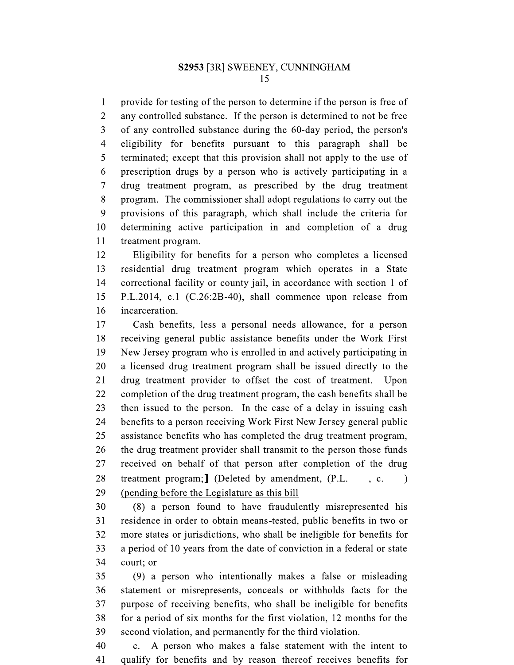$\mathbf{1}$ provide for testing of the person to determine if the person is free of  $\overline{2}$ any controlled substance. If the person is determined to not be free  $\overline{3}$ of any controlled substance during the 60-day period, the person's  $\overline{4}$ eligibility for benefits pursuant to this paragraph shall be 5 terminated; except that this provision shall not apply to the use of 6 prescription drugs by a person who is actively participating in a  $\overline{7}$ drug treatment program, as prescribed by the drug treatment 8 program. The commissioner shall adopt regulations to carry out the 9 provisions of this paragraph, which shall include the criteria for 10 determining active participation in and completion of a drug 11 treatment program.

12 Eligibility for benefits for a person who completes a licensed 13 residential drug treatment program which operates in a State 14 correctional facility or county jail, in accordance with section 1 of 15 P.L.2014, c.1 (C.26:2B-40), shall commence upon release from 16 incarceration.

17 Cash benefits, less a personal needs allowance, for a person 18 receiving general public assistance benefits under the Work First 19 New Jersey program who is enrolled in and actively participating in 20 a licensed drug treatment program shall be issued directly to the 21 drug treatment provider to offset the cost of treatment. Upon 22 completion of the drug treatment program, the cash benefits shall be 23 then issued to the person. In the case of a delay in issuing cash 24 benefits to a person receiving Work First New Jersey general public 25 assistance benefits who has completed the drug treatment program, 26 the drug treatment provider shall transmit to the person those funds 27 received on behalf of that person after completion of the drug 28 treatment program; [ (Deleted by amendment, (P.L., c. 29 (pending before the Legislature as this bill

30 (8) a person found to have fraudulently misrepresented his 31 residence in order to obtain means-tested, public benefits in two or 32 more states or jurisdictions, who shall be ineligible for benefits for 33 a period of 10 years from the date of conviction in a federal or state 34 court; or

35 (9) a person who intentionally makes a false or misleading 36 statement or misrepresents, conceals or withholds facts for the 37 purpose of receiving benefits, who shall be ineligible for benefits 38 for a period of six months for the first violation, 12 months for the 39 second violation, and permanently for the third violation.

40 c. A person who makes a false statement with the intent to qualify for benefits and by reason thereof receives benefits for 41